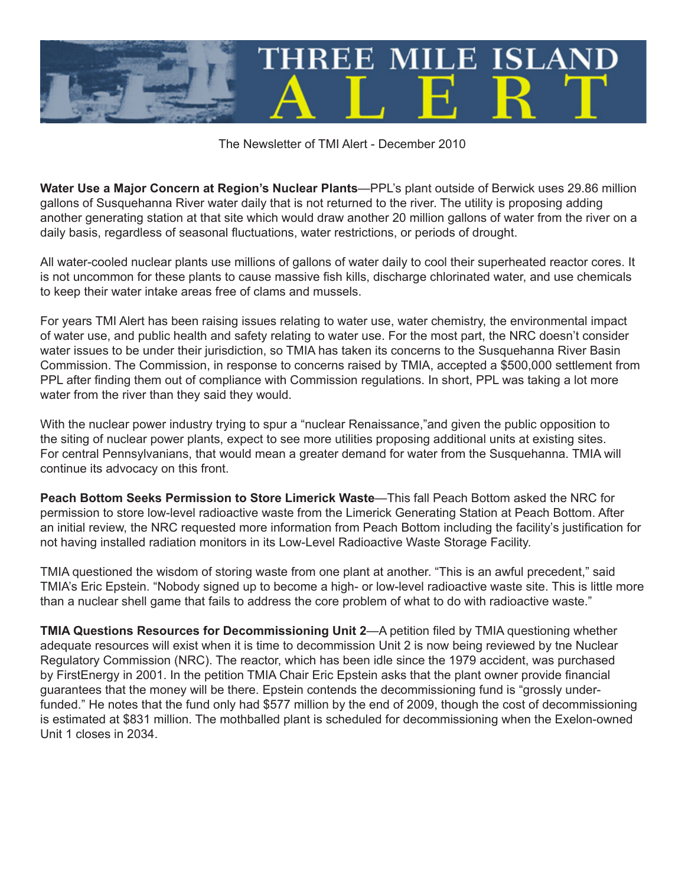

The Newsletter of TMI Alert - December 2010

**Water Use a Major Concern at Region's Nuclear Plants**—PPL's plant outside of Berwick uses 29.86 million gallons of Susquehanna River water daily that is not returned to the river. The utility is proposing adding another generating station at that site which would draw another 20 million gallons of water from the river on a daily basis, regardless of seasonal fluctuations, water restrictions, or periods of drought.

All water-cooled nuclear plants use millions of gallons of water daily to cool their superheated reactor cores. It is not uncommon for these plants to cause massive fish kills, discharge chlorinated water, and use chemicals to keep their water intake areas free of clams and mussels.

For years TMI Alert has been raising issues relating to water use, water chemistry, the environmental impact of water use, and public health and safety relating to water use. For the most part, the NRC doesn't consider water issues to be under their jurisdiction, so TMIA has taken its concerns to the Susquehanna River Basin Commission. The Commission, in response to concerns raised by TMIA, accepted a \$500,000 settlement from PPL after finding them out of compliance with Commission regulations. In short, PPL was taking a lot more water from the river than they said they would.

With the nuclear power industry trying to spur a "nuclear Renaissance," and given the public opposition to the siting of nuclear power plants, expect to see more utilities proposing additional units at existing sites. For central Pennsylvanians, that would mean a greater demand for water from the Susquehanna. TMIA will continue its advocacy on this front.

**Peach Bottom Seeks Permission to Store Limerick Waste**—This fall Peach Bottom asked the NRC for permission to store low-level radioactive waste from the Limerick Generating Station at Peach Bottom. After an initial review, the NRC requested more information from Peach Bottom including the facility's justification for not having installed radiation monitors in its Low-Level Radioactive Waste Storage Facility.

TMIA questioned the wisdom of storing waste from one plant at another. "This is an awful precedent," said TMIA's Eric Epstein. "Nobody signed up to become a high- or low-level radioactive waste site. This is little more than a nuclear shell game that fails to address the core problem of what to do with radioactive waste."

**TMIA Questions Resources for Decommissioning Unit 2**—A petition filed by TMIA questioning whether adequate resources will exist when it is time to decommission Unit 2 is now being reviewed by tne Nuclear Regulatory Commission (NRC). The reactor, which has been idle since the 1979 accident, was purchased by FirstEnergy in 2001. In the petition TMIA Chair Eric Epstein asks that the plant owner provide financial guarantees that the money will be there. Epstein contends the decommissioning fund is "grossly underfunded." He notes that the fund only had \$577 million by the end of 2009, though the cost of decommissioning is estimated at \$831 million. The mothballed plant is scheduled for decommissioning when the Exelon-owned Unit 1 closes in 2034.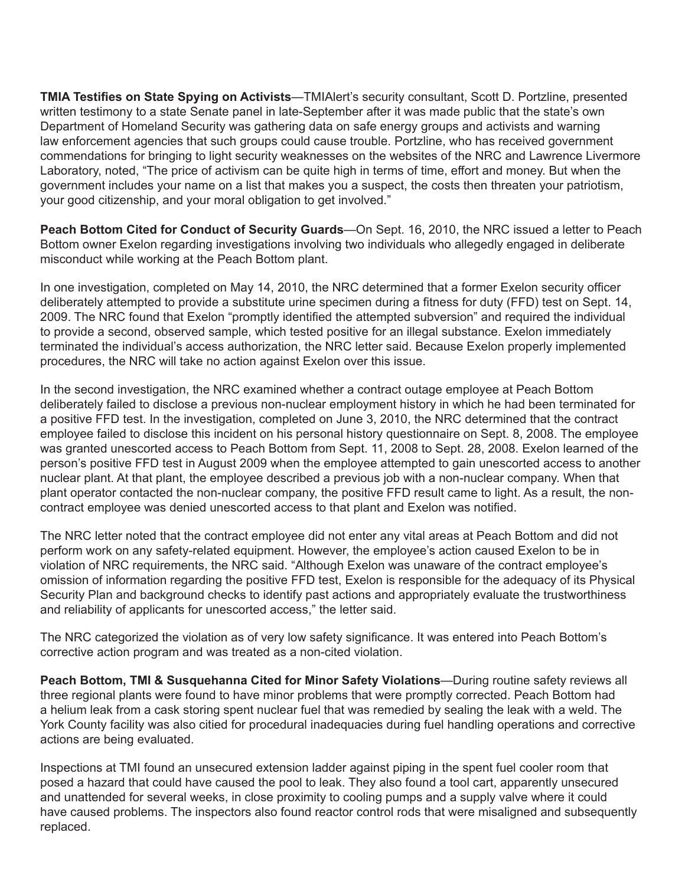**TMIA Testifies on State Spying on Activists**—TMIAlert's security consultant, Scott D. Portzline, presented written testimony to a state Senate panel in late-September after it was made public that the state's own Department of Homeland Security was gathering data on safe energy groups and activists and warning law enforcement agencies that such groups could cause trouble. Portzline, who has received government commendations for bringing to light security weaknesses on the websites of the NRC and Lawrence Livermore Laboratory, noted, "The price of activism can be quite high in terms of time, effort and money. But when the government includes your name on a list that makes you a suspect, the costs then threaten your patriotism, your good citizenship, and your moral obligation to get involved."

**Peach Bottom Cited for Conduct of Security Guards**—On Sept. 16, 2010, the NRC issued a letter to Peach Bottom owner Exelon regarding investigations involving two individuals who allegedly engaged in deliberate misconduct while working at the Peach Bottom plant.

In one investigation, completed on May 14, 2010, the NRC determined that a former Exelon security officer deliberately attempted to provide a substitute urine specimen during a fitness for duty (FFD) test on Sept. 14, 2009. The NRC found that Exelon "promptly identified the attempted subversion" and required the individual to provide a second, observed sample, which tested positive for an illegal substance. Exelon immediately terminated the individual's access authorization, the NRC letter said. Because Exelon properly implemented procedures, the NRC will take no action against Exelon over this issue.

In the second investigation, the NRC examined whether a contract outage employee at Peach Bottom deliberately failed to disclose a previous non-nuclear employment history in which he had been terminated for a positive FFD test. In the investigation, completed on June 3, 2010, the NRC determined that the contract employee failed to disclose this incident on his personal history questionnaire on Sept. 8, 2008. The employee was granted unescorted access to Peach Bottom from Sept. 11, 2008 to Sept. 28, 2008. Exelon learned of the person's positive FFD test in August 2009 when the employee attempted to gain unescorted access to another nuclear plant. At that plant, the employee described a previous job with a non-nuclear company. When that plant operator contacted the non-nuclear company, the positive FFD result came to light. As a result, the noncontract employee was denied unescorted access to that plant and Exelon was notified.

The NRC letter noted that the contract employee did not enter any vital areas at Peach Bottom and did not perform work on any safety-related equipment. However, the employee's action caused Exelon to be in violation of NRC requirements, the NRC said. "Although Exelon was unaware of the contract employee's omission of information regarding the positive FFD test, Exelon is responsible for the adequacy of its Physical Security Plan and background checks to identify past actions and appropriately evaluate the trustworthiness and reliability of applicants for unescorted access," the letter said.

The NRC categorized the violation as of very low safety significance. It was entered into Peach Bottom's corrective action program and was treated as a non-cited violation.

**Peach Bottom, TMI & Susquehanna Cited for Minor Safety Violations**—During routine safety reviews all three regional plants were found to have minor problems that were promptly corrected. Peach Bottom had a helium leak from a cask storing spent nuclear fuel that was remedied by sealing the leak with a weld. The York County facility was also citied for procedural inadequacies during fuel handling operations and corrective actions are being evaluated.

Inspections at TMI found an unsecured extension ladder against piping in the spent fuel cooler room that posed a hazard that could have caused the pool to leak. They also found a tool cart, apparently unsecured and unattended for several weeks, in close proximity to cooling pumps and a supply valve where it could have caused problems. The inspectors also found reactor control rods that were misaligned and subsequently replaced.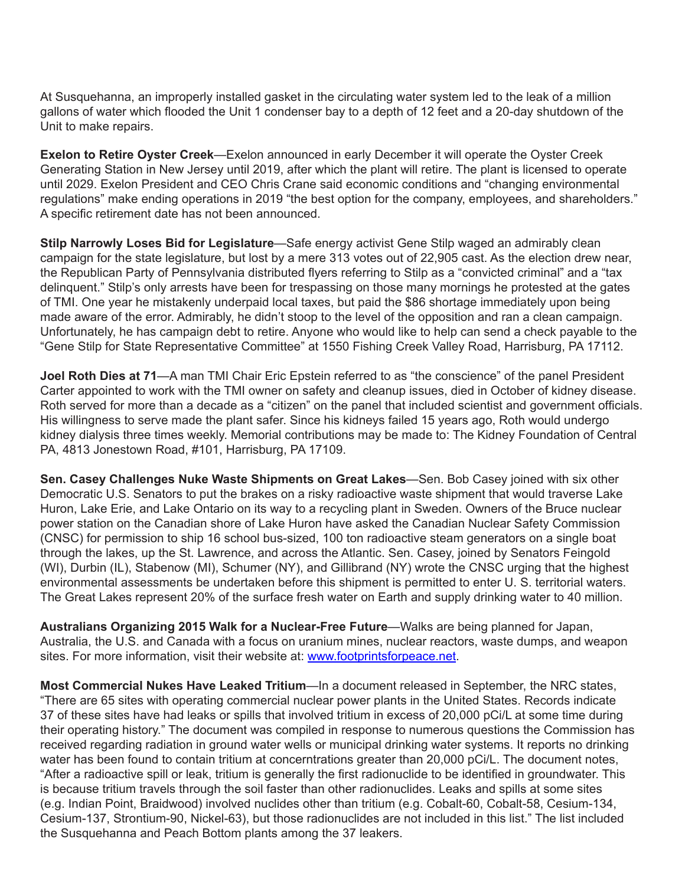At Susquehanna, an improperly installed gasket in the circulating water system led to the leak of a million gallons of water which flooded the Unit 1 condenser bay to a depth of 12 feet and a 20-day shutdown of the Unit to make repairs.

**Exelon to Retire Oyster Creek**—Exelon announced in early December it will operate the Oyster Creek Generating Station in New Jersey until 2019, after which the plant will retire. The plant is licensed to operate until 2029. Exelon President and CEO Chris Crane said economic conditions and "changing environmental regulations" make ending operations in 2019 "the best option for the company, employees, and shareholders." A specific retirement date has not been announced.

**Stilp Narrowly Loses Bid for Legislature**—Safe energy activist Gene Stilp waged an admirably clean campaign for the state legislature, but lost by a mere 313 votes out of 22,905 cast. As the election drew near, the Republican Party of Pennsylvania distributed flyers referring to Stilp as a "convicted criminal" and a "tax delinquent." Stilp's only arrests have been for trespassing on those many mornings he protested at the gates of TMI. One year he mistakenly underpaid local taxes, but paid the \$86 shortage immediately upon being made aware of the error. Admirably, he didn't stoop to the level of the opposition and ran a clean campaign. Unfortunately, he has campaign debt to retire. Anyone who would like to help can send a check payable to the "Gene Stilp for State Representative Committee" at 1550 Fishing Creek Valley Road, Harrisburg, PA 17112.

**Joel Roth Dies at 71**—A man TMI Chair Eric Epstein referred to as "the conscience" of the panel President Carter appointed to work with the TMI owner on safety and cleanup issues, died in October of kidney disease. Roth served for more than a decade as a "citizen" on the panel that included scientist and government officials. His willingness to serve made the plant safer. Since his kidneys failed 15 years ago, Roth would undergo kidney dialysis three times weekly. Memorial contributions may be made to: The Kidney Foundation of Central PA, 4813 Jonestown Road, #101, Harrisburg, PA 17109.

**Sen. Casey Challenges Nuke Waste Shipments on Great Lakes**—Sen. Bob Casey joined with six other Democratic U.S. Senators to put the brakes on a risky radioactive waste shipment that would traverse Lake Huron, Lake Erie, and Lake Ontario on its way to a recycling plant in Sweden. Owners of the Bruce nuclear power station on the Canadian shore of Lake Huron have asked the Canadian Nuclear Safety Commission (CNSC) for permission to ship 16 school bus-sized, 100 ton radioactive steam generators on a single boat through the lakes, up the St. Lawrence, and across the Atlantic. Sen. Casey, joined by Senators Feingold (WI), Durbin (IL), Stabenow (MI), Schumer (NY), and Gillibrand (NY) wrote the CNSC urging that the highest environmental assessments be undertaken before this shipment is permitted to enter U. S. territorial waters. The Great Lakes represent 20% of the surface fresh water on Earth and supply drinking water to 40 million.

**Australians Organizing 2015 Walk for a Nuclear-Free Future**—Walks are being planned for Japan, Australia, the U.S. and Canada with a focus on uranium mines, nuclear reactors, waste dumps, and weapon sites. For more information, visit their website at: www.footprintsforpeace.net.

**Most Commercial Nukes Have Leaked Tritium**—In a document released in September, the NRC states, "There are 65 sites with operating commercial nuclear power plants in the United States. Records indicate 37 of these sites have had leaks or spills that involved tritium in excess of 20,000 pCi/L at some time during their operating history." The document was compiled in response to numerous questions the Commission has received regarding radiation in ground water wells or municipal drinking water systems. It reports no drinking water has been found to contain tritium at concerntrations greater than 20,000 pCi/L. The document notes, "After a radioactive spill or leak, tritium is generally the first radionuclide to be identified in groundwater. This is because tritium travels through the soil faster than other radionuclides. Leaks and spills at some sites (e.g. Indian Point, Braidwood) involved nuclides other than tritium (e.g. Cobalt-60, Cobalt-58, Cesium-134, Cesium-137, Strontium-90, Nickel-63), but those radionuclides are not included in this list." The list included the Susquehanna and Peach Bottom plants among the 37 leakers.